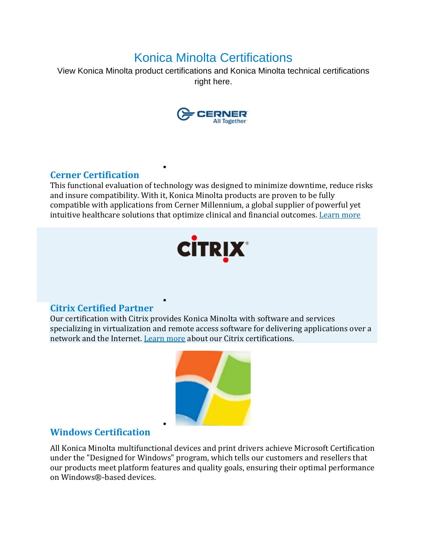# Konica Minolta Certifications

View Konica Minolta product certifications and Konica Minolta technical certifications right here.



### **Cerner Certification**

This functional evaluation of technology was designed to minimize downtime, reduce risks and insure compatibility. With it, Konica Minolta products are proven to be fully compatible with applications from Cerner Millennium, a global supplier of powerful yet intuitive healthcare solutions that optimize clinical and financial outcomes. [Learn](https://kmbs.konicaminolta.us/wps/wcm/connect/newweb/8a8a879c-ddd8-4528-ac75-9ba27ea08554/Konica_Minolta_Cerner_Cert_09152016.pdf?MOD=AJPERES&CVID=lzB9U2w&CVID=l1JaQtm) more

•

•

•



### **Citrix Certified Partner**

Our certification with Citrix provides Konica Minolta with software and services specializing in virtualization and remote access software for delivering applications over a network and the Internet. [Learn](https://citrixready.citrix.com/konica-minolta-inc.html) more about our Citrix certifications.



### **Windows Certification**

All Konica Minolta multifunctional devices and print drivers achieve Microsoft Certification under the "Designed for Windows" program, which tells our customers and resellers that our products meet platform features and quality goals, ensuring their optimal performance on Windows®-based devices.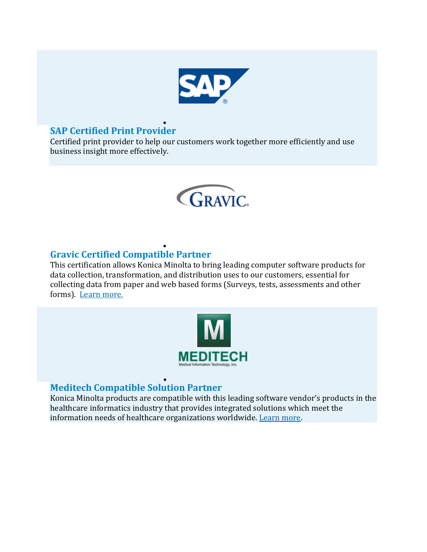

#### • **SAP Certified Print Provider**

Certified print provider to help o[ur c](http://www.sap.com/)ustomers work together more efficiently and use business insight more effectively.



#### • **Gravic Certified Compatible Partner**

This certification allows Konica Minolta to bring leading computer software products for data collection, transformation, and distribution uses to our customers, essential for collecting data from paper and web based forms (Surveys, tests, assessments and other forms). [Learn](http://remarksoftware.com/) more.



#### • **Meditech Compatible Solution Partner**

Konica Minolta products are compatible with this leading software vendor's products in the healthcare informatics industry that provides integrated solutions which meet the information needs of healthcare organizations worldwide. [Learn](http://meditech.com/) more.